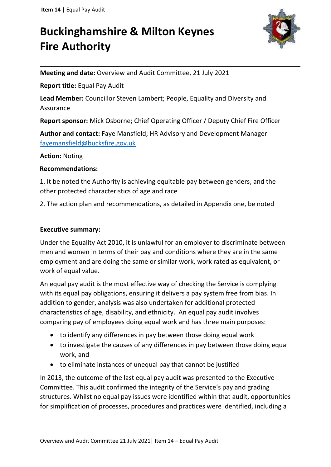# **Buckinghamshire & Milton Keynes Fire Authority**



**Meeting and date:** Overview and Audit Committee, 21 July 2021

**Report title:** Equal Pay Audit

**Lead Member:** Councillor Steven Lambert; People, Equality and Diversity and Assurance

**Report sponsor:** Mick Osborne; Chief Operating Officer / Deputy Chief Fire Officer

**Author and contact:** Faye Mansfield; HR Advisory and Development Manager [fayemansfield@bucksfire.gov.uk](mailto:fayemansfield@bucksfire.gov.uk)

#### **Action:** Noting

#### **Recommendations:**

1. It be noted the Authority is achieving equitable pay between genders, and the other protected characteristics of age and race

2. The action plan and recommendations, as detailed in Appendix one, be noted

#### **Executive summary:**

Under the Equality Act 2010, it is unlawful for an employer to discriminate between men and women in terms of their pay and conditions where they are in the same employment and are doing the same or similar work, work rated as equivalent, or work of equal value.

An equal pay audit is the most effective way of checking the Service is complying with its equal pay obligations, ensuring it delivers a pay system free from bias. In addition to gender, analysis was also undertaken for additional protected characteristics of age, disability, and ethnicity. An equal pay audit involves comparing pay of employees doing equal work and has three main purposes:

- to identify any differences in pay between those doing equal work
- to investigate the causes of any differences in pay between those doing equal work, and
- to eliminate instances of unequal pay that cannot be justified

In 2013, the outcome of the last equal pay audit was presented to the Executive Committee. This audit confirmed the integrity of the Service's pay and grading structures. Whilst no equal pay issues were identified within that audit, opportunities for simplification of processes, procedures and practices were identified, including a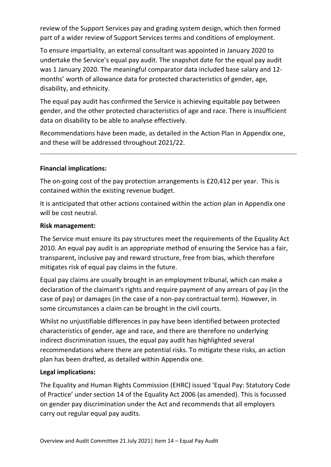review of the Support Services pay and grading system design, which then formed part of a wider review of Support Services terms and conditions of employment.

To ensure impartiality, an external consultant was appointed in January 2020 to undertake the Service's equal pay audit. The snapshot date for the equal pay audit was 1 January 2020. The meaningful comparator data included base salary and 12 months' worth of allowance data for protected characteristics of gender, age, disability, and ethnicity.

The equal pay audit has confirmed the Service is achieving equitable pay between gender, and the other protected characteristics of age and race. There is insufficient data on disability to be able to analyse effectively.

Recommendations have been made, as detailed in the Action Plan in Appendix one, and these will be addressed throughout 2021/22.

# **Financial implications:**

The on-going cost of the pay protection arrangements is £20,412 per year. This is contained within the existing revenue budget.

It is anticipated that other actions contained within the action plan in Appendix one will be cost neutral.

# **Risk management:**

The Service must ensure its pay structures meet the requirements of the Equality Act 2010. An equal pay audit is an appropriate method of ensuring the Service has a fair, transparent, inclusive pay and reward structure, free from bias, which therefore mitigates risk of equal pay claims in the future.

Equal pay claims are usually brought in an employment tribunal, which can make a declaration of the claimant's rights and require payment of any arrears of pay (in the case of pay) or damages (in the case of a non-pay contractual term). However, in some circumstances a claim can be brought in the civil courts.

Whilst no unjustifiable differences in pay have been identified between protected characteristics of gender, age and race, and there are therefore no underlying indirect discrimination issues, the equal pay audit has highlighted several recommendations where there are potential risks. To mitigate these risks, an action plan has been drafted, as detailed within Appendix one.

#### **Legal implications:**

The Equality and Human Rights Commission (EHRC) issued 'Equal Pay: Statutory Code of Practice' under section 14 of the Equality Act 2006 (as amended). This is focussed on gender pay discrimination under the Act and recommends that all employers carry out regular equal pay audits.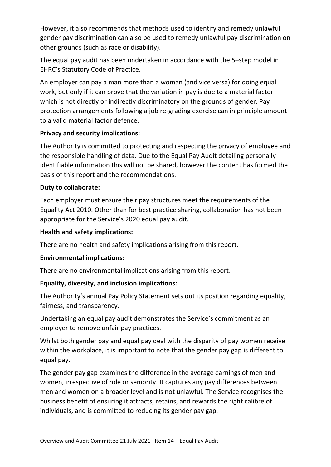However, it also recommends that methods used to identify and remedy unlawful gender pay discrimination can also be used to remedy unlawful pay discrimination on other grounds (such as race or disability).

The equal pay audit has been undertaken in accordance with the 5–step model in EHRC's Statutory Code of Practice.

An employer can pay a man more than a woman (and vice versa) for doing equal work, but only if it can prove that the variation in pay is due to a material factor which is not directly or indirectly discriminatory on the grounds of gender. Pay protection arrangements following a job re-grading exercise can in principle amount to a valid material factor defence.

# **Privacy and security implications:**

The Authority is committed to protecting and respecting the privacy of employee and the responsible handling of data. Due to the Equal Pay Audit detailing personally identifiable information this will not be shared, however the content has formed the basis of this report and the recommendations.

# **Duty to collaborate:**

Each employer must ensure their pay structures meet the requirements of the Equality Act 2010. Other than for best practice sharing, collaboration has not been appropriate for the Service's 2020 equal pay audit.

# **Health and safety implications:**

There are no health and safety implications arising from this report.

#### **Environmental implications:**

There are no environmental implications arising from this report.

# **Equality, diversity, and inclusion implications:**

The Authority's annual Pay Policy Statement sets out its position regarding equality, fairness, and transparency.

Undertaking an equal pay audit demonstrates the Service's commitment as an employer to remove unfair pay practices.

Whilst both gender pay and equal pay deal with the disparity of pay women receive within the workplace, it is important to note that the gender pay gap is different to equal pay.

The gender pay gap examines the difference in the average earnings of men and women, irrespective of role or seniority. It captures any pay differences between men and women on a broader level and is not unlawful. The Service recognises the business benefit of ensuring it attracts, retains, and rewards the right calibre of individuals, and is committed to reducing its gender pay gap.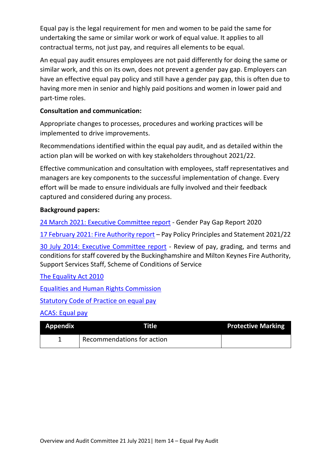Equal pay is the legal requirement for men and women to be paid the same for undertaking the same or similar work or work of equal value. It applies to all contractual terms, not just pay, and requires all elements to be equal.

An equal pay audit ensures employees are not paid differently for doing the same or similar work, and this on its own, does not prevent a gender pay gap. Employers can have an effective equal pay policy and still have a gender pay gap, this is often due to having more men in senior and highly paid positions and women in lower paid and part-time roles.

### **Consultation and communication:**

Appropriate changes to processes, procedures and working practices will be implemented to drive improvements.

Recommendations identified within the equal pay audit, and as detailed within the action plan will be worked on with key stakeholders throughout 2021/22.

Effective communication and consultation with employees, staff representatives and managers are key components to the successful implementation of change. Every effort will be made to ensure individuals are fully involved and their feedback captured and considered during any process.

# **Background papers:**

[24 March 2021: Executive Committee report](https://bucksfire.gov.uk/documents/2021/03/ec-240321-item-6.pdf/) - Gender Pay Gap Report 2020

[17 February 2021: Fire Authority report](https://bucksfire.gov.uk/documents/2021/02/item-9-pay-policy.pdf/) – Pay Policy Principles and Statement 2021/22

[30 July 2014: Executive Committee report](https://bucksfire.gov.uk/documents/2020/03/300714_exec_committee_papers.pdf/) - Review of pay, grading, and terms and conditions for staff covered by the Buckinghamshire and Milton Keynes Fire Authority, Support Services Staff, Scheme of Conditions of Service

#### [The Equality Act 2010](https://www.legislation.gov.uk/ukpga/2010/15/pdfs/ukpga_20100015_en.pdf)

[Equalities and Human Rights Commission](https://www.equalityhumanrights.com/en/our-work/equal-pay)

[Statutory Code of Practice on equal pay](https://www.equalityhumanrights.com/en/publication-download/equal-pay-statutory-code-practice)

#### [ACAS: Equal pay](https://www.acas.org.uk/equal-pay)

| <b>Appendix</b> | Title                      | <b>Protective Marking</b> |
|-----------------|----------------------------|---------------------------|
|                 | Recommendations for action |                           |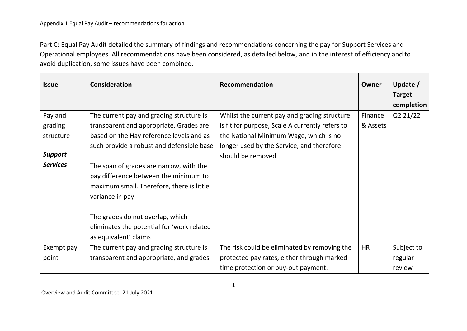Part C: Equal Pay Audit detailed the summary of findings and recommendations concerning the pay for Support Services and Operational employees. All recommendations have been considered, as detailed below, and in the interest of efficiency and to avoid duplication, some issues have been combined.

| <b>Issue</b>    | <b>Consideration</b>                       | Recommendation                                  | Owner     | Update $/$    |
|-----------------|--------------------------------------------|-------------------------------------------------|-----------|---------------|
|                 |                                            |                                                 |           | <b>Target</b> |
|                 |                                            |                                                 |           | completion    |
| Pay and         | The current pay and grading structure is   | Whilst the current pay and grading structure    | Finance   | Q2 21/22      |
| grading         | transparent and appropriate. Grades are    | is fit for purpose, Scale A currently refers to | & Assets  |               |
| structure       | based on the Hay reference levels and as   | the National Minimum Wage, which is no          |           |               |
|                 | such provide a robust and defensible base  | longer used by the Service, and therefore       |           |               |
| <b>Support</b>  |                                            | should be removed                               |           |               |
| <b>Services</b> | The span of grades are narrow, with the    |                                                 |           |               |
|                 | pay difference between the minimum to      |                                                 |           |               |
|                 | maximum small. Therefore, there is little  |                                                 |           |               |
|                 | variance in pay                            |                                                 |           |               |
|                 |                                            |                                                 |           |               |
|                 | The grades do not overlap, which           |                                                 |           |               |
|                 | eliminates the potential for 'work related |                                                 |           |               |
|                 | as equivalent' claims                      |                                                 |           |               |
| Exempt pay      | The current pay and grading structure is   | The risk could be eliminated by removing the    | <b>HR</b> | Subject to    |
| point           | transparent and appropriate, and grades    | protected pay rates, either through marked      |           | regular       |
|                 |                                            | time protection or buy-out payment.             |           | review        |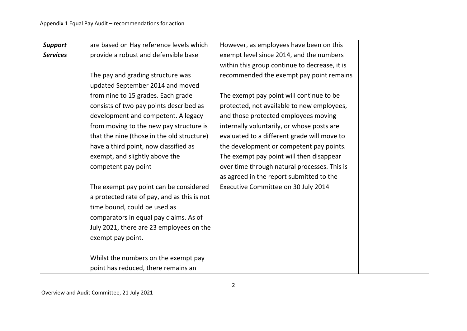| <b>Support</b>  | are based on Hay reference levels which     | However, as employees have been on this       |  |
|-----------------|---------------------------------------------|-----------------------------------------------|--|
| <b>Services</b> | provide a robust and defensible base        | exempt level since 2014, and the numbers      |  |
|                 |                                             | within this group continue to decrease, it is |  |
|                 | The pay and grading structure was           | recommended the exempt pay point remains      |  |
|                 | updated September 2014 and moved            |                                               |  |
|                 | from nine to 15 grades. Each grade          | The exempt pay point will continue to be      |  |
|                 | consists of two pay points described as     | protected, not available to new employees,    |  |
|                 | development and competent. A legacy         | and those protected employees moving          |  |
|                 | from moving to the new pay structure is     | internally voluntarily, or whose posts are    |  |
|                 | that the nine (those in the old structure)  | evaluated to a different grade will move to   |  |
|                 | have a third point, now classified as       | the development or competent pay points.      |  |
|                 | exempt, and slightly above the              | The exempt pay point will then disappear      |  |
|                 | competent pay point                         | over time through natural processes. This is  |  |
|                 |                                             | as agreed in the report submitted to the      |  |
|                 | The exempt pay point can be considered      | Executive Committee on 30 July 2014           |  |
|                 | a protected rate of pay, and as this is not |                                               |  |
|                 | time bound, could be used as                |                                               |  |
|                 | comparators in equal pay claims. As of      |                                               |  |
|                 | July 2021, there are 23 employees on the    |                                               |  |
|                 | exempt pay point.                           |                                               |  |
|                 | Whilst the numbers on the exempt pay        |                                               |  |
|                 | point has reduced, there remains an         |                                               |  |
|                 |                                             |                                               |  |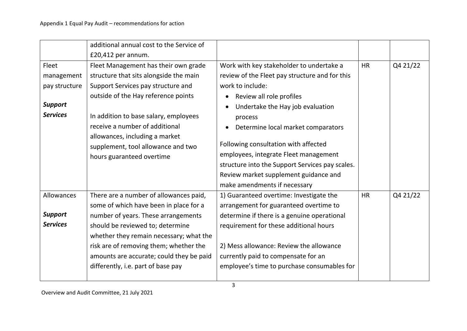|                 | additional annual cost to the Service of |                                                 |           |          |
|-----------------|------------------------------------------|-------------------------------------------------|-----------|----------|
|                 | £20,412 per annum.                       |                                                 |           |          |
| Fleet           | Fleet Management has their own grade     | Work with key stakeholder to undertake a        | <b>HR</b> | Q4 21/22 |
| management      | structure that sits alongside the main   | review of the Fleet pay structure and for this  |           |          |
| pay structure   | Support Services pay structure and       | work to include:                                |           |          |
|                 | outside of the Hay reference points      | Review all role profiles                        |           |          |
| <b>Support</b>  |                                          | Undertake the Hay job evaluation                |           |          |
| <b>Services</b> | In addition to base salary, employees    | process                                         |           |          |
|                 | receive a number of additional           | Determine local market comparators              |           |          |
|                 | allowances, including a market           |                                                 |           |          |
|                 | supplement, tool allowance and two       | Following consultation with affected            |           |          |
|                 | hours guaranteed overtime                | employees, integrate Fleet management           |           |          |
|                 |                                          | structure into the Support Services pay scales. |           |          |
|                 |                                          | Review market supplement guidance and           |           |          |
|                 |                                          | make amendments if necessary                    |           |          |
| Allowances      | There are a number of allowances paid,   | 1) Guaranteed overtime: Investigate the         | <b>HR</b> | Q4 21/22 |
|                 | some of which have been in place for a   | arrangement for guaranteed overtime to          |           |          |
| <b>Support</b>  | number of years. These arrangements      | determine if there is a genuine operational     |           |          |
| <b>Services</b> | should be reviewed to; determine         | requirement for these additional hours          |           |          |
|                 | whether they remain necessary; what the  |                                                 |           |          |
|                 | risk are of removing them; whether the   | 2) Mess allowance: Review the allowance         |           |          |
|                 | amounts are accurate; could they be paid | currently paid to compensate for an             |           |          |
|                 | differently, i.e. part of base pay       | employee's time to purchase consumables for     |           |          |
|                 |                                          |                                                 |           |          |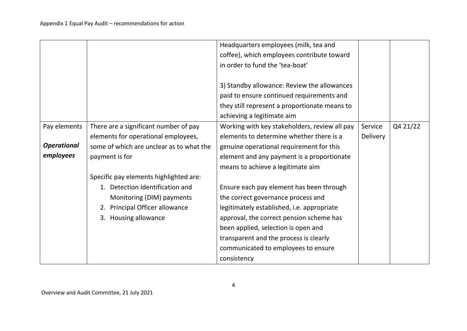|                    |                                          | Headquarters employees (milk, tea and         |                 |          |
|--------------------|------------------------------------------|-----------------------------------------------|-----------------|----------|
|                    |                                          | coffee), which employees contribute toward    |                 |          |
|                    |                                          | in order to fund the 'tea-boat'               |                 |          |
|                    |                                          |                                               |                 |          |
|                    |                                          | 3) Standby allowance: Review the allowances   |                 |          |
|                    |                                          | paid to ensure continued requirements and     |                 |          |
|                    |                                          | they still represent a proportionate means to |                 |          |
|                    |                                          | achieving a legitimate aim                    |                 |          |
| Pay elements       | There are a significant number of pay    | Working with key stakeholders, review all pay | Service         | Q4 21/22 |
|                    | elements for operational employees,      | elements to determine whether there is a      | <b>Delivery</b> |          |
| <b>Operational</b> | some of which are unclear as to what the | genuine operational requirement for this      |                 |          |
| employees          | payment is for                           | element and any payment is a proportionate    |                 |          |
|                    |                                          | means to achieve a legitimate aim             |                 |          |
|                    | Specific pay elements highlighted are:   |                                               |                 |          |
|                    | 1. Detection Identification and          | Ensure each pay element has been through      |                 |          |
|                    | Monitoring (DIM) payments                | the correct governance process and            |                 |          |
|                    | 2. Principal Officer allowance           | legitimately established, i.e. appropriate    |                 |          |
|                    | 3. Housing allowance                     | approval, the correct pension scheme has      |                 |          |
|                    |                                          | been applied, selection is open and           |                 |          |
|                    |                                          | transparent and the process is clearly        |                 |          |
|                    |                                          | communicated to employees to ensure           |                 |          |
|                    |                                          | consistency                                   |                 |          |